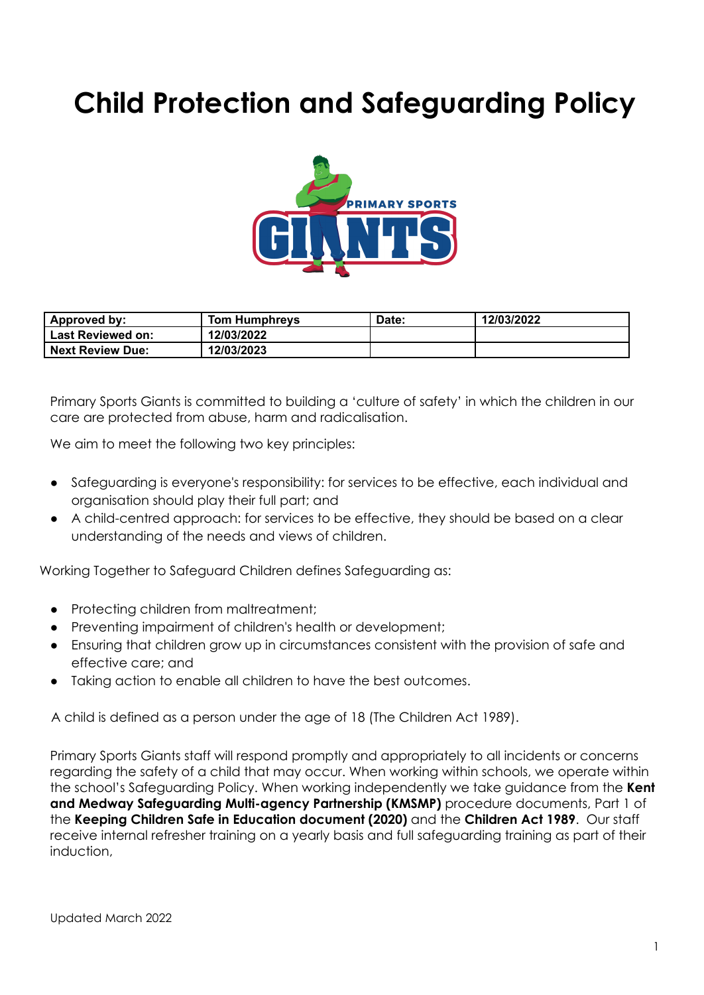# **Child Protection and Safeguarding Policy**



| Approved by:             | Tom Humphrevs | Date: | 12/03/2022 |
|--------------------------|---------------|-------|------------|
| <b>Last Reviewed on:</b> | 12/03/2022    |       |            |
| <b>Next Review Due:</b>  | 12/03/2023    |       |            |

Primary Sports Giants is committed to building a 'culture of safety' in which the children in our care are protected from abuse, harm and radicalisation.

We aim to meet the following two key principles:

- Safeguarding is everyone's responsibility: for services to be effective, each individual and organisation should play their full part; and
- A child-centred approach: for services to be effective, they should be based on a clear understanding of the needs and views of children.

Working Together to Safeguard Children defines Safeguarding as:

- Protecting children from maltreatment;
- Preventing impairment of children's health or development;
- Ensuring that children grow up in circumstances consistent with the provision of safe and effective care; and
- Taking action to enable all children to have the best outcomes.

A child is defined as a person under the age of 18 (The Children Act 1989).

Primary Sports Giants staff will respond promptly and appropriately to all incidents or concerns regarding the safety of a child that may occur. When working within schools, we operate within the school's Safeguarding Policy. When working independently we take guidance from the **Kent and Medway Safeguarding Multi-agency Partnership (KMSMP)** procedure documents, Part 1 of the **Keeping Children Safe in Education document (2020)** and the **Children Act 1989**. Our staff receive internal refresher training on a yearly basis and full safeguarding training as part of their induction,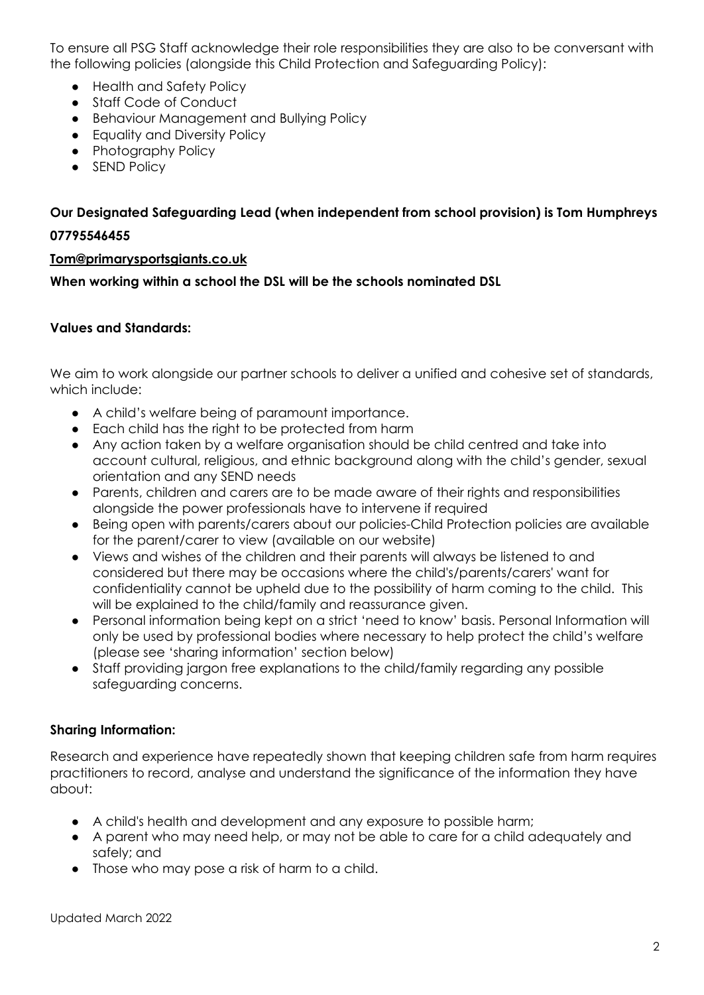To ensure all PSG Staff acknowledge their role responsibilities they are also to be conversant with the following policies (alongside this Child Protection and Safeguarding Policy):

- Health and Safety Policy
- Staff Code of Conduct
- Behaviour Management and Bullying Policy
- Equality and Diversity Policy
- Photography Policy
- SEND Policy

# **Our Designated Safeguarding Lead (when independent from school provision) is Tom Humphreys 07795546455**

#### **[Tom@primarysportsgiants.co.uk](mailto:Tom@primarysportsgiants.co.uk)**

**When working within a school the DSL will be the schools nominated DSL**

#### **Values and Standards:**

We aim to work alongside our partner schools to deliver a unified and cohesive set of standards, which include:

- A child's welfare being of paramount importance.
- Each child has the right to be protected from harm
- Any action taken by a welfare organisation should be child centred and take into account cultural, religious, and ethnic background along with the child's gender, sexual orientation and any SEND needs
- Parents, children and carers are to be made aware of their rights and responsibilities alongside the power professionals have to intervene if required
- Being open with parents/carers about our policies-Child Protection policies are available for the parent/carer to view (available on our website)
- Views and wishes of the children and their parents will always be listened to and considered but there may be occasions where the child's/parents/carers' want for confidentiality cannot be upheld due to the possibility of harm coming to the child. This will be explained to the child/family and reassurance given.
- Personal information being kept on a strict 'need to know' basis. Personal Information will only be used by professional bodies where necessary to help protect the child's welfare (please see 'sharing information' section below)
- Staff providing jargon free explanations to the child/family regarding any possible safeguarding concerns.

#### **Sharing Information:**

Research and experience have repeatedly shown that keeping children safe from harm requires practitioners to record, analyse and understand the significance of the information they have about:

- A child's health and development and any exposure to possible harm;
- A parent who may need help, or may not be able to care for a child adequately and safely; and
- Those who may pose a risk of harm to a child.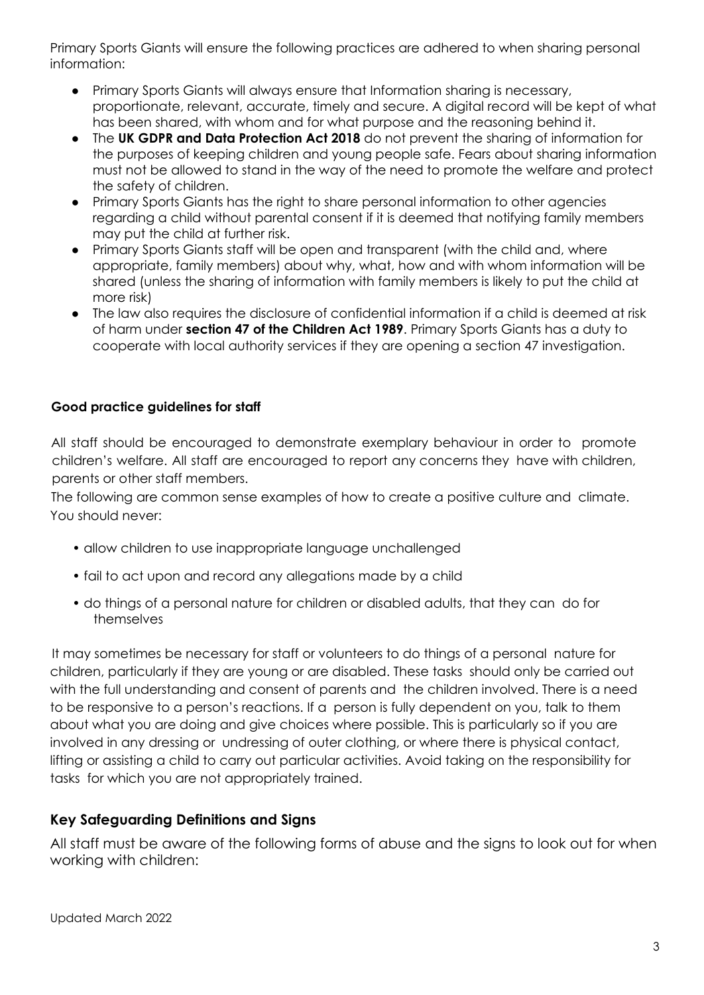Primary Sports Giants will ensure the following practices are adhered to when sharing personal information:

- Primary Sports Giants will always ensure that Information sharing is necessary, proportionate, relevant, accurate, timely and secure. A digital record will be kept of what has been shared, with whom and for what purpose and the reasoning behind it.
- The **UK GDPR and Data Protection Act 2018** do not prevent the sharing of information for the purposes of keeping children and young people safe. Fears about sharing information must not be allowed to stand in the way of the need to promote the welfare and protect the safety of children.
- Primary Sports Giants has the right to share personal information to other agencies regarding a child without parental consent if it is deemed that notifying family members may put the child at further risk.
- Primary Sports Giants staff will be open and transparent (with the child and, where appropriate, family members) about why, what, how and with whom information will be shared (unless the sharing of information with family members is likely to put the child at more risk)
- The law also requires the disclosure of confidential information if a child is deemed at risk of harm under **section 47 of the Children Act 1989**. Primary Sports Giants has a duty to cooperate with local authority services if they are opening a section 47 investigation.

## **Good practice guidelines for staff**

All staff should be encouraged to demonstrate exemplary behaviour in order to promote children's welfare. All staff are encouraged to report any concerns they have with children, parents or other staff members.

The following are common sense examples of how to create a positive culture and climate. You should never:

- allow children to use inappropriate language unchallenged
- fail to act upon and record any allegations made by a child
- do things of a personal nature for children or disabled adults, that they can do for themselves

It may sometimes be necessary for staff or volunteers to do things of a personal nature for children, particularly if they are young or are disabled. These tasks should only be carried out with the full understanding and consent of parents and the children involved. There is a need to be responsive to a person's reactions. If a person is fully dependent on you, talk to them about what you are doing and give choices where possible. This is particularly so if you are involved in any dressing or undressing of outer clothing, or where there is physical contact, lifting or assisting a child to carry out particular activities. Avoid taking on the responsibility for tasks for which you are not appropriately trained.

## **Key Safeguarding Definitions and Signs**

All staff must be aware of the following forms of abuse and the signs to look out for when working with children: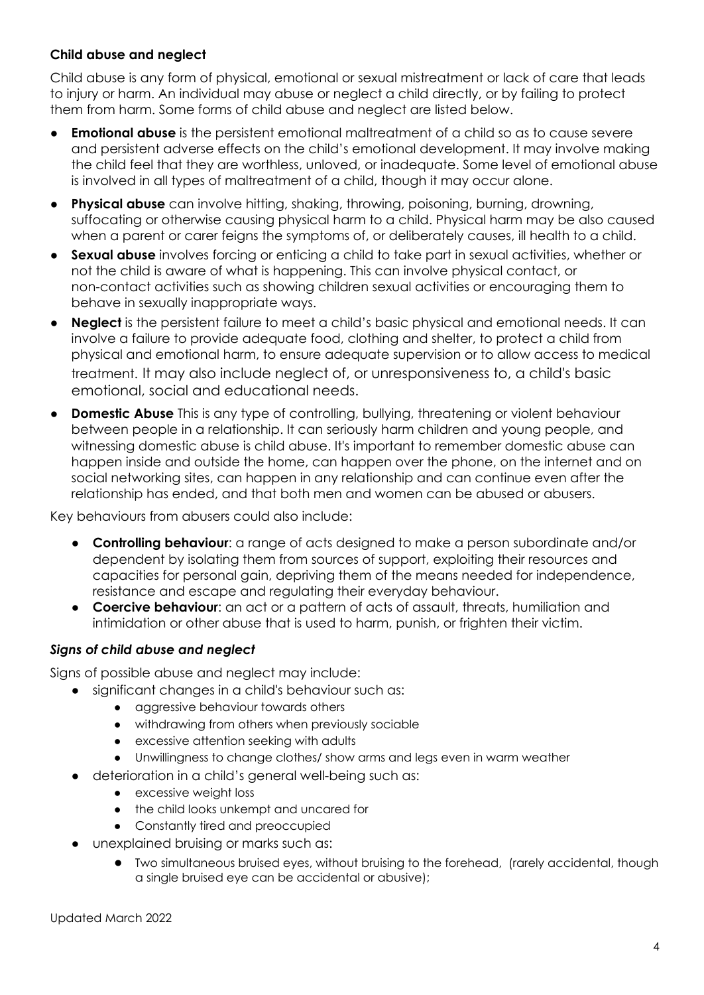## **Child abuse and neglect**

Child abuse is any form of physical, emotional or sexual mistreatment or lack of care that leads to injury or harm. An individual may abuse or neglect a child directly, or by failing to protect them from harm. Some forms of child abuse and neglect are listed below.

- **Emotional abuse** is the persistent emotional maltreatment of a child so as to cause severe and persistent adverse effects on the child's emotional development. It may involve making the child feel that they are worthless, unloved, or inadequate. Some level of emotional abuse is involved in all types of maltreatment of a child, though it may occur alone.
- **Physical abuse** can involve hitting, shaking, throwing, poisoning, burning, drowning, suffocating or otherwise causing physical harm to a child. Physical harm may be also caused when a parent or carer feigns the symptoms of, or deliberately causes, ill health to a child.
- **Sexual abuse** involves forcing or enticing a child to take part in sexual activities, whether or not the child is aware of what is happening. This can involve physical contact, or non-contact activities such as showing children sexual activities or encouraging them to behave in sexually inappropriate ways.
- **Neglect** is the persistent failure to meet a child's basic physical and emotional needs. It can involve a failure to provide adequate food, clothing and shelter, to protect a child from physical and emotional harm, to ensure adequate supervision or to allow access to medical treatment. It may also include neglect of, or unresponsiveness to, a child's basic emotional, social and educational needs.
- **Domestic Abuse** This is any type of controlling, bullying, threatening or violent behaviour between people in a relationship. It can seriously harm children and young people, and witnessing domestic abuse is child abuse. It's important to remember domestic abuse can happen inside and outside the home, can happen over the phone, on the internet and on social networking sites, can happen in any relationship and can continue even after the relationship has ended, and that both men and women can be abused or abusers.

Key behaviours from abusers could also include:

- **Controlling behaviour**: a range of acts designed to make a person subordinate and/or dependent by isolating them from sources of support, exploiting their resources and capacities for personal gain, depriving them of the means needed for independence, resistance and escape and regulating their everyday behaviour.
- **Coercive behaviour:** an act or a pattern of acts of assault, threats, humiliation and intimidation or other abuse that is used to harm, punish, or frighten their victim.

#### *Signs of child abuse and neglect*

Signs of possible abuse and neglect may include:

- significant changes in a child's behaviour such as:
	- aggressive behaviour towards others
	- withdrawing from others when previously sociable
	- excessive attention seeking with adults
	- Unwillingness to change clothes/ show arms and legs even in warm weather
- deterioration in a child's general well-being such as:
	- excessive weight loss
	- the child looks unkempt and uncared for
	- Constantly tired and preoccupied
- unexplained bruising or marks such as:
	- Two simultaneous bruised eyes, without bruising to the forehead, (rarely accidental, though a single bruised eye can be accidental or abusive);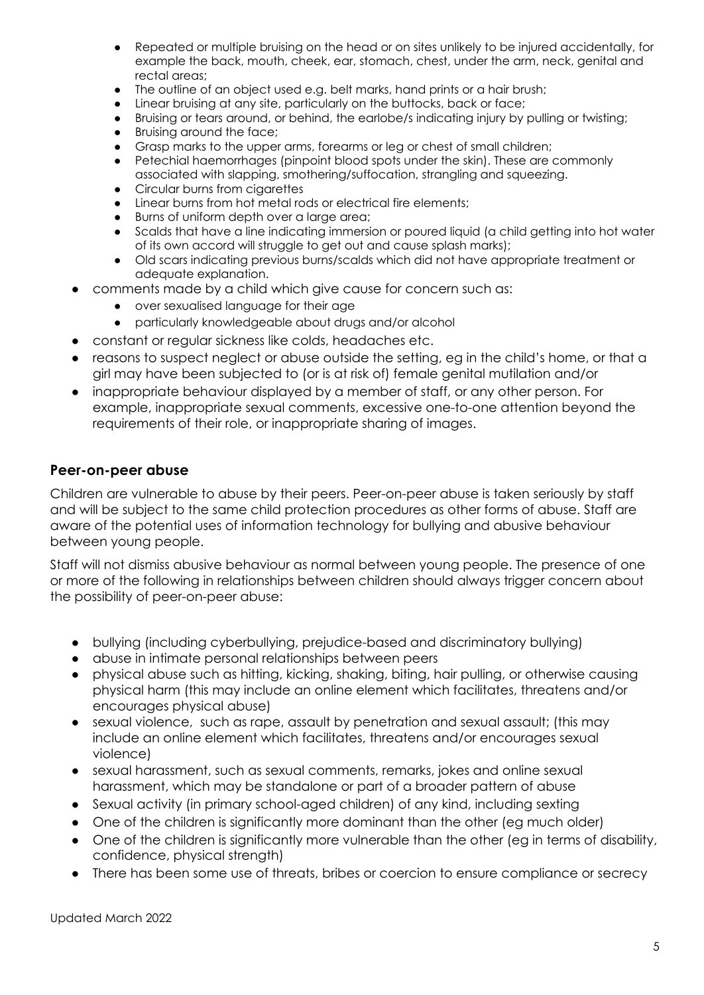- Repeated or multiple bruising on the head or on sites unlikely to be injured accidentally, for example the back, mouth, cheek, ear, stomach, chest, under the arm, neck, genital and rectal areas;
- The outline of an object used e.g. belt marks, hand prints or a hair brush:
- Linear bruising at any site, particularly on the buttocks, back or face;
- Bruising or tears around, or behind, the earlobe/s indicating injury by pulling or twisting;
- Bruising around the face;
- Grasp marks to the upper arms, forearms or leg or chest of small children;
- Petechial haemorrhages (pinpoint blood spots under the skin). These are commonly associated with slapping, smothering/suffocation, strangling and squeezing.
- Circular burns from cigarettes
- Linear burns from hot metal rods or electrical fire elements;
- Burns of uniform depth over a large area;
- Scalds that have a line indicating immersion or poured liquid (a child getting into hot water of its own accord will struggle to get out and cause splash marks);
- Old scars indicating previous burns/scalds which did not have appropriate treatment or adequate explanation.
- comments made by a child which give cause for concern such as:
	- over sexualised language for their age
	- particularly knowledgeable about drugs and/or alcohol
- constant or regular sickness like colds, headaches etc.
- $r$ easons to suspect neglect or abuse outside the setting, eg in the child's home, or that a girl may have been subjected to (or is at risk of) female genital mutilation and/or
- inappropriate behaviour displayed by a member of staff, or any other person. For example, inappropriate sexual comments, excessive one-to-one attention beyond the requirements of their role, or inappropriate sharing of images.

#### **Peer-on-peer abuse**

Children are vulnerable to abuse by their peers. Peer-on-peer abuse is taken seriously by staff and will be subject to the same child protection procedures as other forms of abuse. Staff are aware of the potential uses of information technology for bullying and abusive behaviour between young people.

Staff will not dismiss abusive behaviour as normal between young people. The presence of one or more of the following in relationships between children should always trigger concern about the possibility of peer-on-peer abuse:

- bullying (including cyberbullying, prejudice-based and discriminatory bullying)
- abuse in intimate personal relationships between peers
- physical abuse such as hitting, kicking, shaking, biting, hair pulling, or otherwise causing physical harm (this may include an online element which facilitates, threatens and/or encourages physical abuse)
- sexual violence, such as rape, assault by penetration and sexual assault; (this may include an online element which facilitates, threatens and/or encourages sexual violence)
- sexual harassment, such as sexual comments, remarks, jokes and online sexual harassment, which may be standalone or part of a broader pattern of abuse
- Sexual activity (in primary school-aged children) of any kind, including sexting
- One of the children is significantly more dominant than the other (eg much older)
- One of the children is significantly more vulnerable than the other (eg in terms of disability, confidence, physical strength)
- There has been some use of threats, bribes or coercion to ensure compliance or secrecy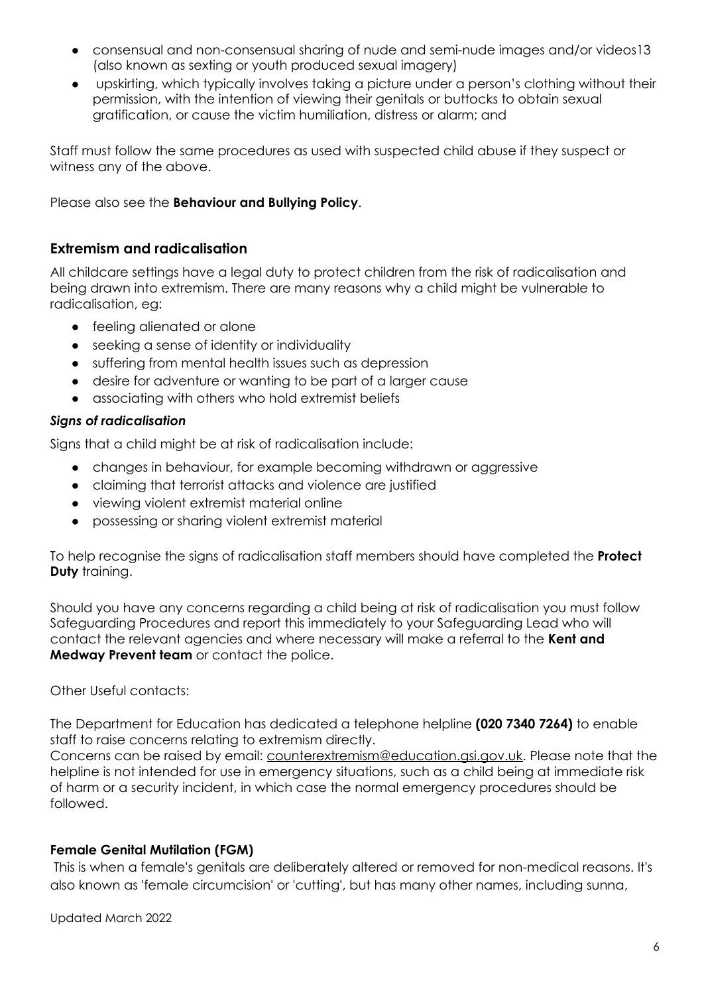- consensual and non-consensual sharing of nude and semi-nude images and/or videos13 (also known as sexting or youth produced sexual imagery)
- upskirting, which typically involves taking a picture under a person's clothing without their permission, with the intention of viewing their genitals or buttocks to obtain sexual gratification, or cause the victim humiliation, distress or alarm; and

Staff must follow the same procedures as used with suspected child abuse if they suspect or witness any of the above.

Please also see the **Behaviour and Bullying Policy**.

## **Extremism and radicalisation**

All childcare settings have a legal duty to protect children from the risk of radicalisation and being drawn into extremism. There are many reasons why a child might be vulnerable to radicalisation, eg:

- feeling alienated or alone
- seeking a sense of identity or individuality
- suffering from mental health issues such as depression
- desire for adventure or wanting to be part of a larger cause
- associating with others who hold extremist beliefs

#### *Signs of radicalisation*

Signs that a child might be at risk of radicalisation include:

- changes in behaviour, for example becoming withdrawn or aggressive
- claiming that terrorist attacks and violence are justified
- viewing violent extremist material online
- possessing or sharing violent extremist material

To help recognise the signs of radicalisation staff members should have completed the **Protect Duty** training.

Should you have any concerns regarding a child being at risk of radicalisation you must follow Safeguarding Procedures and report this immediately to your Safeguarding Lead who will contact the relevant agencies and where necessary will make a referral to the **Kent and Medway Prevent team** or contact the police.

#### Other Useful contacts:

The Department for Education has dedicated a telephone helpline **(020 7340 7264)** to enable staff to raise concerns relating to extremism directly.

Concerns can be raised by email: [counterextremism@education.gsi.gov.uk.](mailto:counterextremism@education.gsi.gov.uk) Please note that the helpline is not intended for use in emergency situations, such as a child being at immediate risk of harm or a security incident, in which case the normal emergency procedures should be followed.

#### **Female Genital Mutilation (FGM)**

This is when a female's genitals are deliberately altered or removed for non-medical reasons. It's also known as 'female circumcision' or 'cutting', but has many other names, including sunna,

Updated March 2022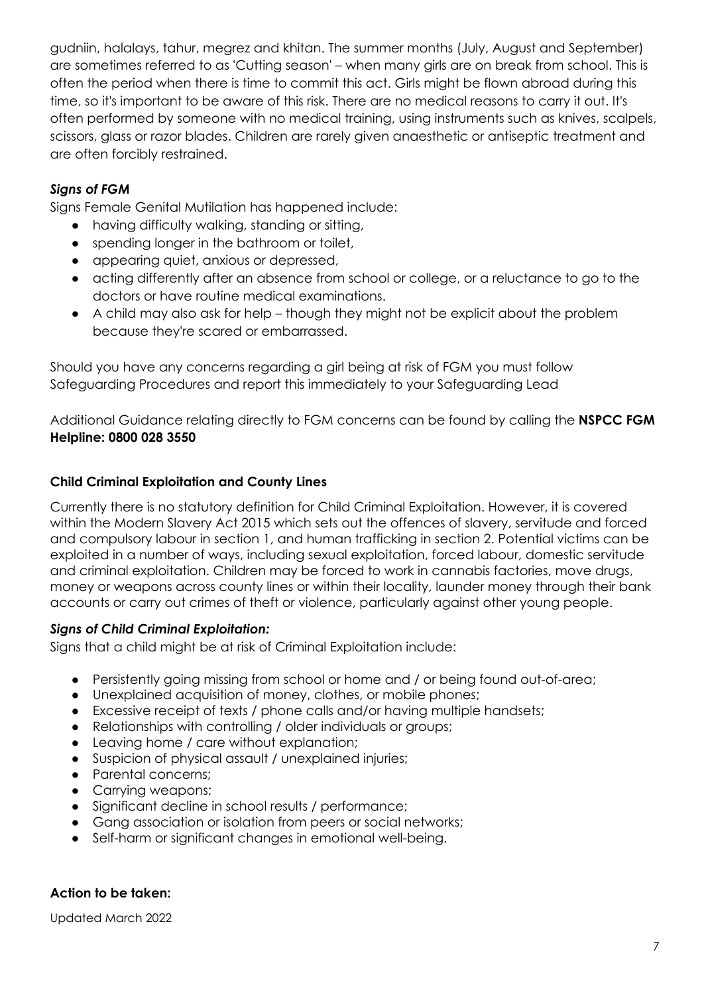gudniin, halalays, tahur, megrez and khitan. The summer months (July, August and September) are sometimes referred to as 'Cutting season' – when many girls are on break from school. This is often the period when there is time to commit this act. Girls might be flown abroad during this time, so it's important to be aware of this risk. There are no medical reasons to carry it out. It's often performed by someone with no medical training, using instruments such as knives, scalpels, scissors, glass or razor blades. Children are rarely given anaesthetic or antiseptic treatment and are often forcibly restrained.

## *Signs of FGM*

Signs Female Genital Mutilation has happened include:

- having difficulty walking, standing or sitting,
- spending longer in the bathroom or toilet,
- appearing quiet, anxious or depressed,
- acting differently after an absence from school or college, or a reluctance to go to the doctors or have routine medical examinations.
- A child may also ask for help though they might not be explicit about the problem because they're scared or embarrassed.

Should you have any concerns regarding a girl being at risk of FGM you must follow Safeguarding Procedures and report this immediately to your Safeguarding Lead

Additional Guidance relating directly to FGM concerns can be found by calling the **NSPCC FGM Helpline: 0800 028 3550**

## **Child Criminal Exploitation and County Lines**

Currently there is no statutory definition for Child Criminal Exploitation. However, it is covered within the Modern Slavery Act 2015 which sets out the offences of slavery, servitude and forced and compulsory labour in section 1, and human trafficking in section 2. Potential victims can be exploited in a number of ways, including sexual exploitation, forced labour, domestic servitude and criminal exploitation. Children may be forced to work in cannabis factories, move drugs, money or weapons across county lines or within their locality, launder money through their bank accounts or carry out crimes of theft or violence, particularly against other young people.

## *Signs of Child Criminal Exploitation:*

Signs that a child might be at risk of Criminal Exploitation include:

- Persistently going missing from school or home and / or being found out-of-area;
- Unexplained acquisition of money, clothes, or mobile phones;
- Excessive receipt of texts / phone calls and/or having multiple handsets;
- Relationships with controlling / older individuals or groups;
- Leaving home / care without explanation;
- Suspicion of physical assault / unexplained injuries;
- Parental concerns;
- Carrying weapons;
- Significant decline in school results / performance;
- Gang association or isolation from peers or social networks;
- Self-harm or significant changes in emotional well-being.

#### **Action to be taken:**

Updated March 2022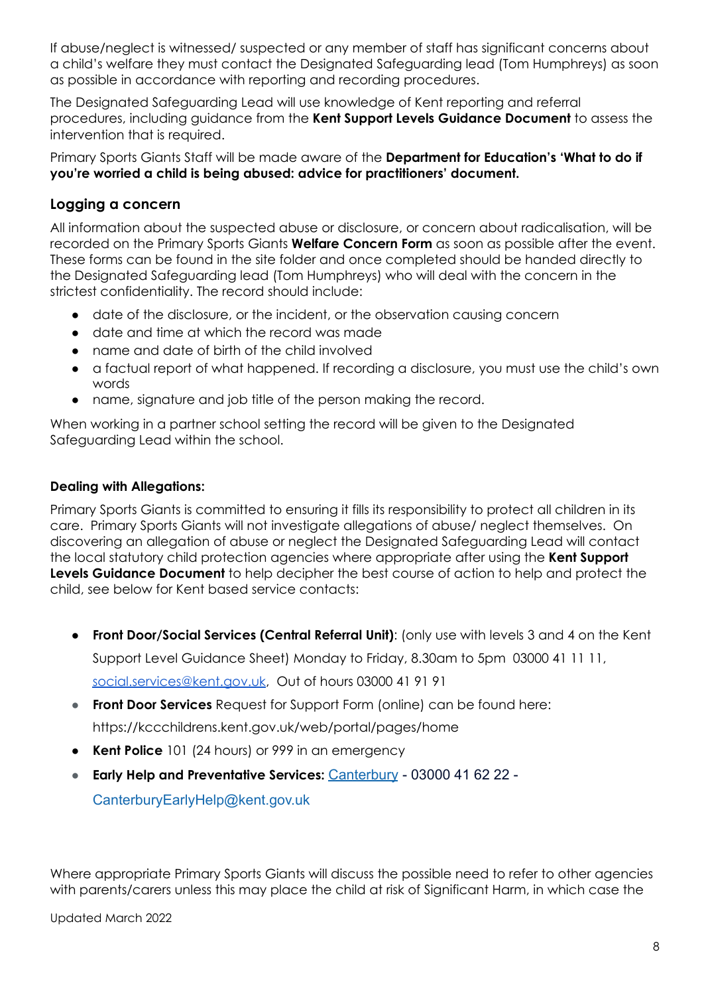If abuse/neglect is witnessed/ suspected or any member of staff has significant concerns about a child's welfare they must contact the Designated Safeguarding lead (Tom Humphreys) as soon as possible in accordance with reporting and recording procedures.

The Designated Safeguarding Lead will use knowledge of Kent reporting and referral procedures, including guidance from the **Kent Support Levels Guidance Document** to assess the intervention that is required.

Primary Sports Giants Staff will be made aware of the **Department for Education's 'What to do if you're worried a child is being abused: advice for practitioners' document.**

## **Logging a concern**

All information about the suspected abuse or disclosure, or concern about radicalisation, will be recorded on the Primary Sports Giants **Welfare Concern Form** as soon as possible after the event. These forms can be found in the site folder and once completed should be handed directly to the Designated Safeguarding lead (Tom Humphreys) who will deal with the concern in the strictest confidentiality. The record should include:

- date of the disclosure, or the incident, or the observation causing concern
- date and time at which the record was made
- name and date of birth of the child involved
- a factual report of what happened. If recording a disclosure, you must use the child's own words
- name, signature and job title of the person making the record.

When working in a partner school setting the record will be given to the Designated Safeguarding Lead within the school.

## **Dealing with Allegations:**

Primary Sports Giants is committed to ensuring it fills its responsibility to protect all children in its care. Primary Sports Giants will not investigate allegations of abuse/ neglect themselves. On discovering an allegation of abuse or neglect the Designated Safeguarding Lead will contact the local statutory child protection agencies where appropriate after using the **Kent Support Levels Guidance Document** to help decipher the best course of action to help and protect the child, see below for Kent based service contacts:

- **Front Door/Social Services (Central Referral Unit)**: (only use with levels 3 and 4 on the Kent Support Level Guidance Sheet) Monday to Friday, 8.30am to 5pm 03000 41 11 11, [social.services@kent.gov.uk](mailto:social.services@kent.gov.uk), Out of hours 03000 41 91 91
- **Front Door Services** Request for Support Form (online) can be found here: https://kccchildrens.kent.gov.uk/web/portal/pages/home
- **Kent Police** 101 (24 hours) or 999 in an emergency
- **Early Help and Preventative Services:** [Canterbury](https://www.kelsi.org.uk/special-education-needs/integrated-childrens-services/early-help-contacts/canterbury) 03000 41 62 22 CanterburyEarlyHelp@kent.gov.uk

Where appropriate Primary Sports Giants will discuss the possible need to refer to other agencies with parents/carers unless this may place the child at risk of Significant Harm, in which case the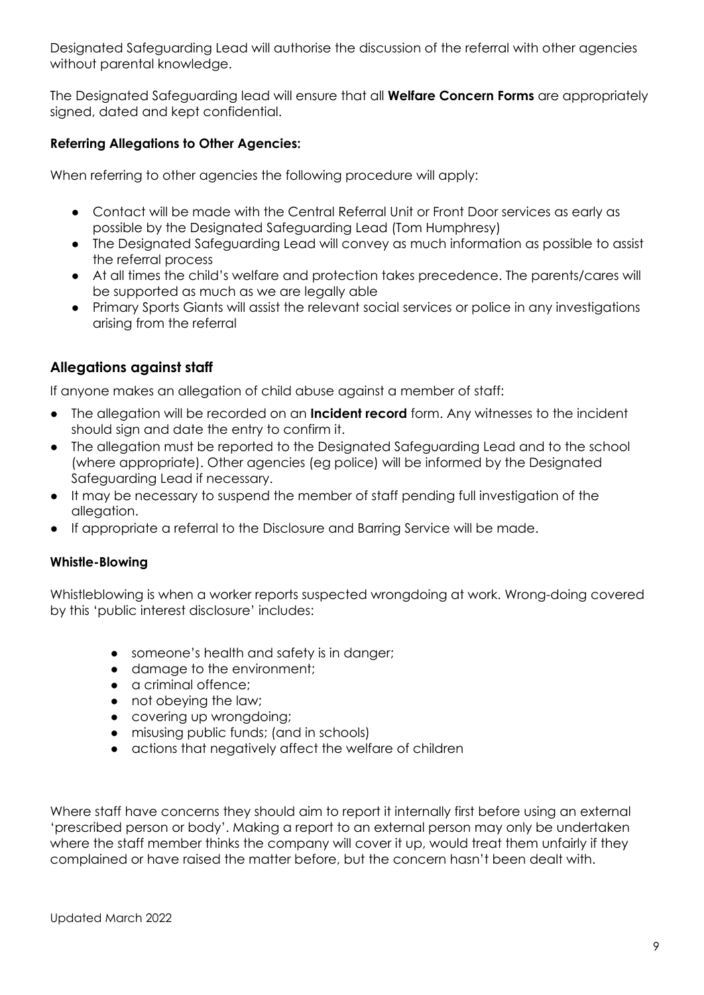Designated Safeguarding Lead will authorise the discussion of the referral with other agencies without parental knowledge.

The Designated Safeguarding lead will ensure that all **Welfare Concern Forms** are appropriately signed, dated and kept confidential.

## **Referring Allegations to Other Agencies:**

When referring to other agencies the following procedure will apply:

- Contact will be made with the Central Referral Unit or Front Door services as early as possible by the Designated Safeguarding Lead (Tom Humphresy)
- The Designated Safeguarding Lead will convey as much information as possible to assist the referral process
- At all times the child's welfare and protection takes precedence. The parents/cares will be supported as much as we are legally able
- Primary Sports Giants will assist the relevant social services or police in any investigations arising from the referral

# **Allegations against staff**

If anyone makes an allegation of child abuse against a member of staff:

- The allegation will be recorded on an **Incident record** form. Any witnesses to the incident should sign and date the entry to confirm it.
- The allegation must be reported to the Designated Safeguarding Lead and to the school (where appropriate). Other agencies (eg police) will be informed by the Designated Safeguarding Lead if necessary.
- It may be necessary to suspend the member of staff pending full investigation of the allegation.
- If appropriate a referral to the Disclosure and Barring Service will be made.

#### **Whistle-Blowing**

Whistleblowing is when a worker reports suspected wrongdoing at work. Wrong-doing covered by this 'public interest disclosure' includes:

- someone's health and safety is in danger;
- damage to the environment;
- a criminal offence;
- not obeying the law;
- covering up wrongdoing;
- misusing public funds; (and in schools)
- actions that negatively affect the welfare of children

Where staff have concerns they should aim to report it internally first before using an external 'prescribed person or body'. Making a report to an external person may only be undertaken where the staff member thinks the company will cover it up, would treat them unfairly if they complained or have raised the matter before, but the concern hasn't been dealt with.